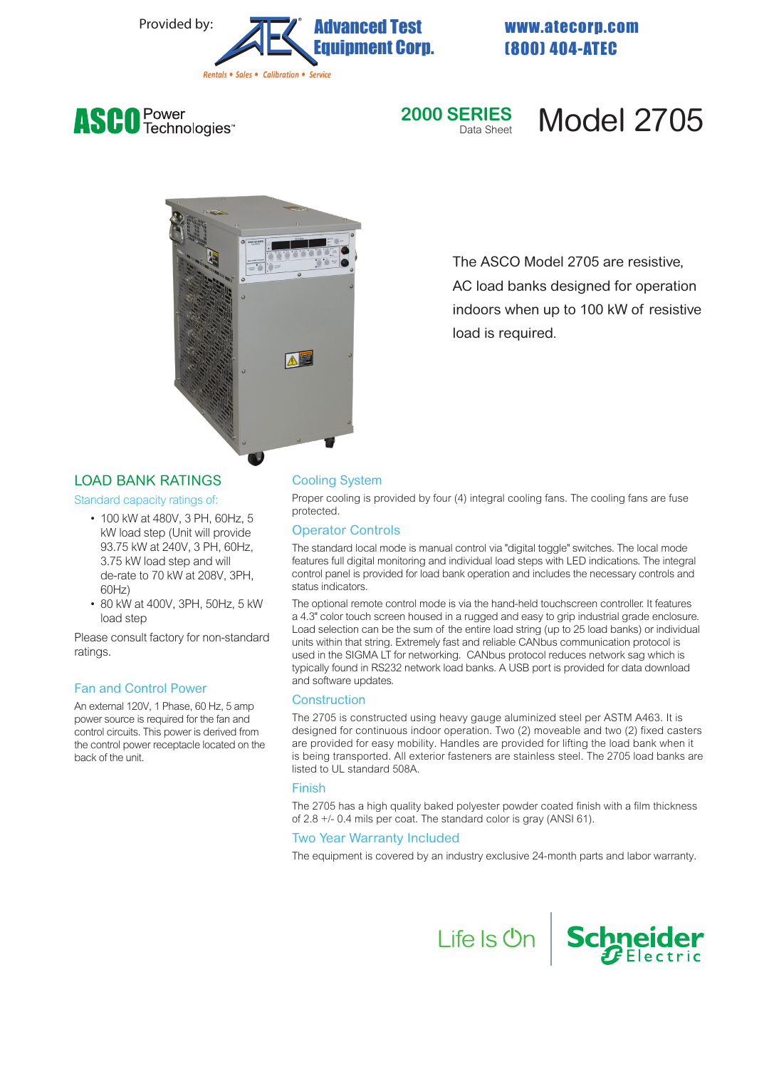

(800) 404-ATEC





# **Model 2705**



The ASCO Model 2705 are resistive, AC load banks designed for operation indoors when up to 100 kW of resistive load is required.

# LOAD BANK RATINGS

Standard capacity ratings of:

- 100 kW at 480V, 3 PH, 60Hz, 5 kW load step (Unit will provide 93.75 kW at 240V, 3 PH, 60Hz, 3.75 kW load step and will de-rate to 70 kW at 208V, 3PH, 60Hz)
- 80 kW at 400V, 3PH, 50Hz, 5 kW load step

Please consult factory for non-standard ratings.

#### Fan and Control Power

An external 120V, 1 Phase, 60 Hz, 5 amp power source is required for the fan and control circuits. This power is derived from the control power receptacle located on the back of the unit.

#### Cooling System

Proper cooling is provided by four (4) integral cooling fans. The cooling fans are fuse protected.

#### Operator Controls

The standard local mode is manual control via "digital toggle" switches. The local mode features full digital monitoring and individual load steps with LED indications. The integral control panel is provided for load bank operation and includes the necessary controls and status indicators.

The optional remote control mode is via the hand-held touchscreen controller. It features a 4.3" color touch screen housed in a rugged and easy to grip industrial grade enclosure. Load selection can be the sum of the entire load string (up to 25 load banks) or individual units within that string. Extremely fast and reliable CANbus communication protocol is used in the SIGMA LT for networking. CANbus protocol reduces network sag which is typically found in RS232 network load banks. A USB port is provided for data download and software updates.

#### **Construction**

The 2705 is constructed using heavy gauge aluminized steel per ASTM A463. It is designed for continuous indoor operation. Two (2) moveable and two (2) fixed casters are provided for easy mobility. Handles are provided for lifting the load bank when it is being transported. All exterior fasteners are stainless steel. The 2705 load banks are listed to UL standard 508A.

#### Finish

The 2705 has a high quality baked polyester powder coated finish with a film thickness of 2.8 +/- 0.4 mils per coat. The standard color is gray (ANSI 61).

# Two Year Warranty Included

The equipment is covered by an industry exclusive 24-month parts and labor warranty.